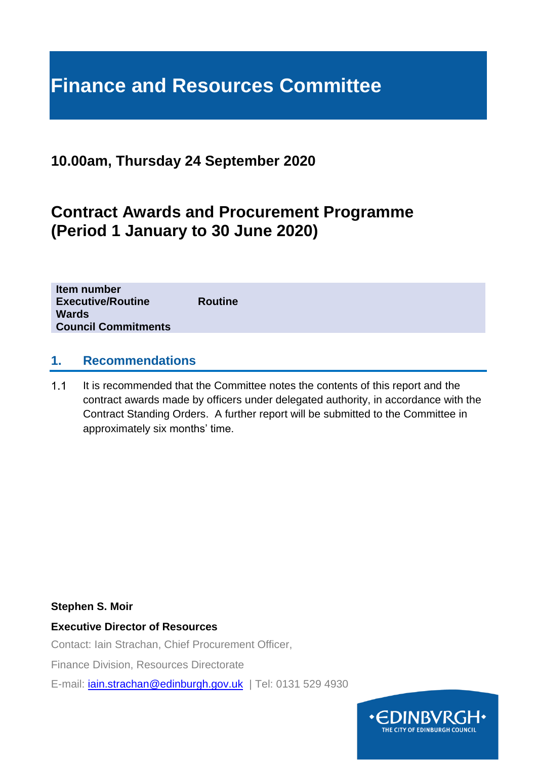# **Finance and Resources Committee**

# **10.00am, Thursday 24 September 2020**

# **Contract Awards and Procurement Programme (Period 1 January to 30 June 2020)**

| <b>Wards</b><br><b>Council Commitments</b> |
|--------------------------------------------|
|--------------------------------------------|

#### **1. Recommendations**

 $1.1$ It is recommended that the Committee notes the contents of this report and the contract awards made by officers under delegated authority, in accordance with the Contract Standing Orders. A further report will be submitted to the Committee in approximately six months' time.

#### **Stephen S. Moir**

#### **Executive Director of Resources**

Contact: Iain Strachan, Chief Procurement Officer,

Finance Division, Resources Directorate

E-mail: *[iain.strachan@edinburgh.gov.uk](mailto:iain.strachan@edinburgh.gov.uk)* | Tel: 0131 529 4930

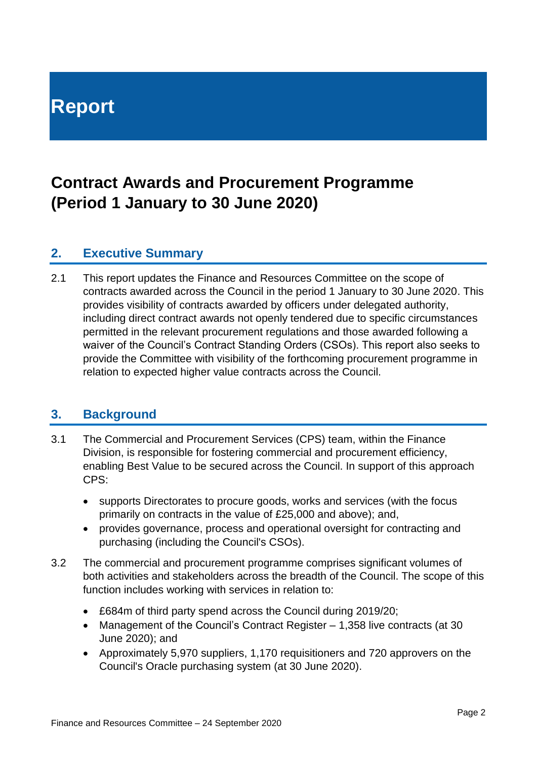# **Report**

# **Contract Awards and Procurement Programme (Period 1 January to 30 June 2020)**

#### **2. Executive Summary**

2.1 This report updates the Finance and Resources Committee on the scope of contracts awarded across the Council in the period 1 January to 30 June 2020. This provides visibility of contracts awarded by officers under delegated authority, including direct contract awards not openly tendered due to specific circumstances permitted in the relevant procurement regulations and those awarded following a waiver of the Council's Contract Standing Orders (CSOs). This report also seeks to provide the Committee with visibility of the forthcoming procurement programme in relation to expected higher value contracts across the Council.

# **3. Background**

- 3.1 The Commercial and Procurement Services (CPS) team, within the Finance Division, is responsible for fostering commercial and procurement efficiency, enabling Best Value to be secured across the Council. In support of this approach CPS:
	- supports Directorates to procure goods, works and services (with the focus primarily on contracts in the value of £25,000 and above); and,
	- provides governance, process and operational oversight for contracting and purchasing (including the Council's CSOs).
- 3.2 The commercial and procurement programme comprises significant volumes of both activities and stakeholders across the breadth of the Council. The scope of this function includes working with services in relation to:
	- £684m of third party spend across the Council during 2019/20;
	- Management of the Council's Contract Register 1,358 live contracts (at 30 June 2020); and
	- Approximately 5,970 suppliers, 1,170 requisitioners and 720 approvers on the Council's Oracle purchasing system (at 30 June 2020).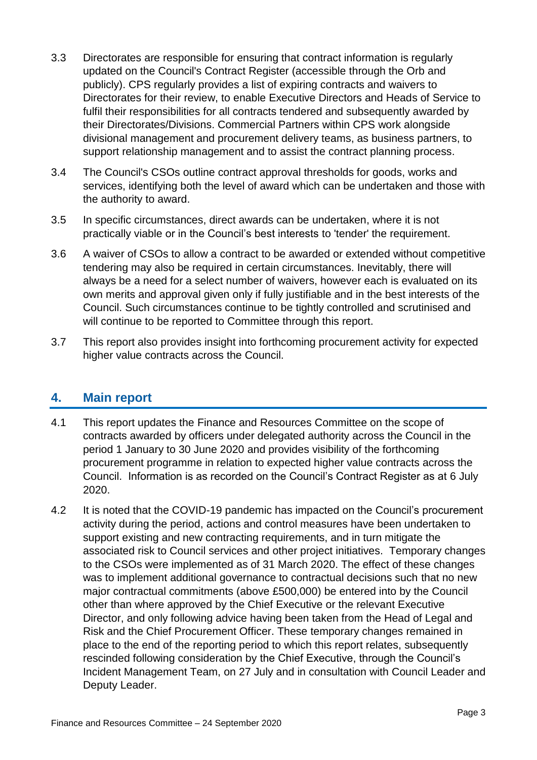- 3.3 Directorates are responsible for ensuring that contract information is regularly updated on the Council's Contract Register (accessible through the Orb and publicly). CPS regularly provides a list of expiring contracts and waivers to Directorates for their review, to enable Executive Directors and Heads of Service to fulfil their responsibilities for all contracts tendered and subsequently awarded by their Directorates/Divisions. Commercial Partners within CPS work alongside divisional management and procurement delivery teams, as business partners, to support relationship management and to assist the contract planning process.
- 3.4 The Council's CSOs outline contract approval thresholds for goods, works and services, identifying both the level of award which can be undertaken and those with the authority to award.
- 3.5 In specific circumstances, direct awards can be undertaken, where it is not practically viable or in the Council's best interests to 'tender' the requirement.
- 3.6 A waiver of CSOs to allow a contract to be awarded or extended without competitive tendering may also be required in certain circumstances. Inevitably, there will always be a need for a select number of waivers, however each is evaluated on its own merits and approval given only if fully justifiable and in the best interests of the Council. Such circumstances continue to be tightly controlled and scrutinised and will continue to be reported to Committee through this report.
- 3.7 This report also provides insight into forthcoming procurement activity for expected higher value contracts across the Council.

#### **4. Main report**

- 4.1 This report updates the Finance and Resources Committee on the scope of contracts awarded by officers under delegated authority across the Council in the period 1 January to 30 June 2020 and provides visibility of the forthcoming procurement programme in relation to expected higher value contracts across the Council. Information is as recorded on the Council's Contract Register as at 6 July 2020.
- 4.2 It is noted that the COVID-19 pandemic has impacted on the Council's procurement activity during the period, actions and control measures have been undertaken to support existing and new contracting requirements, and in turn mitigate the associated risk to Council services and other project initiatives. Temporary changes to the CSOs were implemented as of 31 March 2020. The effect of these changes was to implement additional governance to contractual decisions such that no new major contractual commitments (above £500,000) be entered into by the Council other than where approved by the Chief Executive or the relevant Executive Director, and only following advice having been taken from the Head of Legal and Risk and the Chief Procurement Officer. These temporary changes remained in place to the end of the reporting period to which this report relates, subsequently rescinded following consideration by the Chief Executive, through the Council's Incident Management Team, on 27 July and in consultation with Council Leader and Deputy Leader.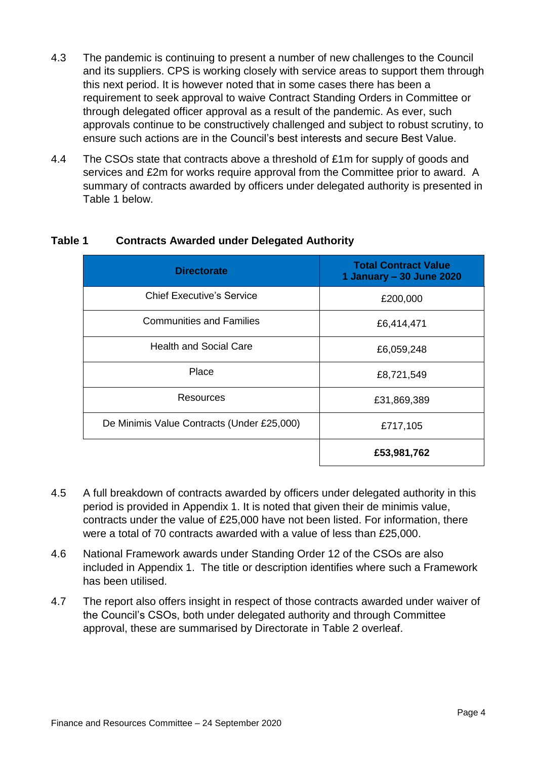- 4.3 The pandemic is continuing to present a number of new challenges to the Council and its suppliers. CPS is working closely with service areas to support them through this next period. It is however noted that in some cases there has been a requirement to seek approval to waive Contract Standing Orders in Committee or through delegated officer approval as a result of the pandemic. As ever, such approvals continue to be constructively challenged and subject to robust scrutiny, to ensure such actions are in the Council's best interests and secure Best Value.
- 4.4 The CSOs state that contracts above a threshold of £1m for supply of goods and services and £2m for works require approval from the Committee prior to award. A summary of contracts awarded by officers under delegated authority is presented in Table 1 below.

| <b>Directorate</b>                         | <b>Total Contract Value</b><br>1 January - 30 June 2020 |
|--------------------------------------------|---------------------------------------------------------|
| <b>Chief Executive's Service</b>           | £200,000                                                |
| <b>Communities and Families</b>            | £6,414,471                                              |
| <b>Health and Social Care</b>              | £6,059,248                                              |
| Place                                      | £8,721,549                                              |
| Resources                                  | £31,869,389                                             |
| De Minimis Value Contracts (Under £25,000) | £717,105                                                |
|                                            | £53,981,762                                             |

#### **Table 1 Contracts Awarded under Delegated Authority**

- 4.5 A full breakdown of contracts awarded by officers under delegated authority in this period is provided in Appendix 1. It is noted that given their de minimis value, contracts under the value of £25,000 have not been listed. For information, there were a total of 70 contracts awarded with a value of less than £25,000.
- 4.6 National Framework awards under Standing Order 12 of the CSOs are also included in Appendix 1. The title or description identifies where such a Framework has been utilised.
- 4.7 The report also offers insight in respect of those contracts awarded under waiver of the Council's CSOs, both under delegated authority and through Committee approval, these are summarised by Directorate in Table 2 overleaf.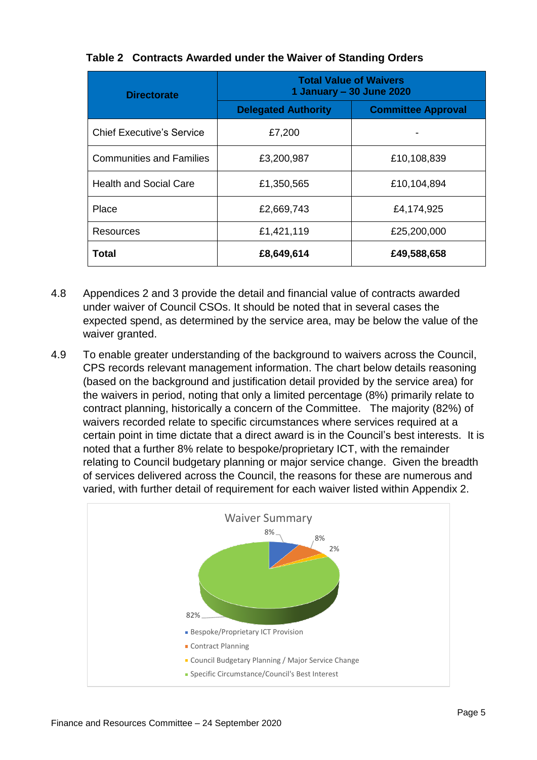| <b>Directorate</b>               | <b>Total Value of Waivers</b><br>1 January – 30 June 2020 |                           |
|----------------------------------|-----------------------------------------------------------|---------------------------|
|                                  | <b>Delegated Authority</b>                                | <b>Committee Approval</b> |
| <b>Chief Executive's Service</b> | £7,200                                                    |                           |
| <b>Communities and Families</b>  | £3,200,987                                                | £10,108,839               |
| <b>Health and Social Care</b>    | £1,350,565                                                | £10,104,894               |
| Place                            | £2,669,743                                                | £4,174,925                |
| Resources                        | £1,421,119                                                | £25,200,000               |
| Total                            | £8,649,614                                                | £49,588,658               |

#### **Table 2 Contracts Awarded under the Waiver of Standing Orders**

- 4.8 Appendices 2 and 3 provide the detail and financial value of contracts awarded under waiver of Council CSOs. It should be noted that in several cases the expected spend, as determined by the service area, may be below the value of the waiver granted.
- 4.9 To enable greater understanding of the background to waivers across the Council, CPS records relevant management information. The chart below details reasoning (based on the background and justification detail provided by the service area) for the waivers in period, noting that only a limited percentage (8%) primarily relate to contract planning, historically a concern of the Committee. The majority (82%) of waivers recorded relate to specific circumstances where services required at a certain point in time dictate that a direct award is in the Council's best interests. It is noted that a further 8% relate to bespoke/proprietary ICT, with the remainder relating to Council budgetary planning or major service change. Given the breadth of services delivered across the Council, the reasons for these are numerous and varied, with further detail of requirement for each waiver listed within Appendix 2.

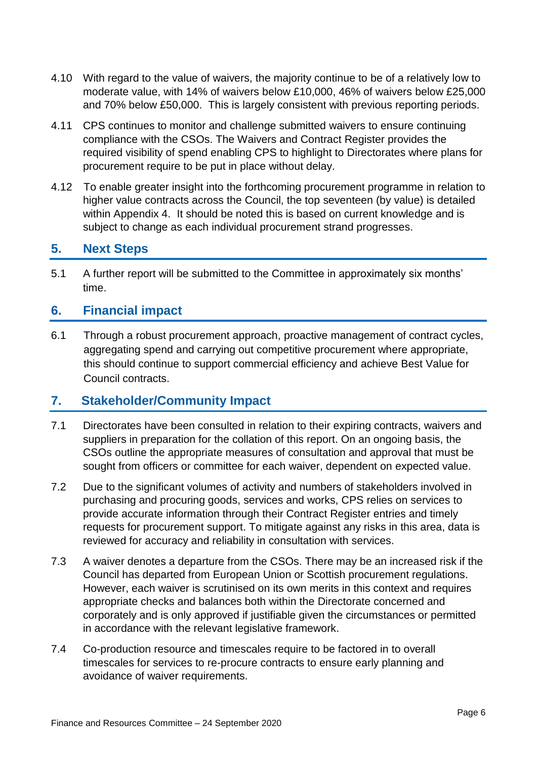- 4.10 With regard to the value of waivers, the majority continue to be of a relatively low to moderate value, with 14% of waivers below £10,000, 46% of waivers below £25,000 and 70% below £50,000. This is largely consistent with previous reporting periods.
- 4.11 CPS continues to monitor and challenge submitted waivers to ensure continuing compliance with the CSOs. The Waivers and Contract Register provides the required visibility of spend enabling CPS to highlight to Directorates where plans for procurement require to be put in place without delay.
- 4.12 To enable greater insight into the forthcoming procurement programme in relation to higher value contracts across the Council, the top seventeen (by value) is detailed within Appendix 4. It should be noted this is based on current knowledge and is subject to change as each individual procurement strand progresses.

#### **5. Next Steps**

5.1 A further report will be submitted to the Committee in approximately six months' time.

#### **6. Financial impact**

6.1 Through a robust procurement approach, proactive management of contract cycles, aggregating spend and carrying out competitive procurement where appropriate, this should continue to support commercial efficiency and achieve Best Value for Council contracts.

#### **7. Stakeholder/Community Impact**

- 7.1 Directorates have been consulted in relation to their expiring contracts, waivers and suppliers in preparation for the collation of this report. On an ongoing basis, the CSOs outline the appropriate measures of consultation and approval that must be sought from officers or committee for each waiver, dependent on expected value.
- 7.2 Due to the significant volumes of activity and numbers of stakeholders involved in purchasing and procuring goods, services and works, CPS relies on services to provide accurate information through their Contract Register entries and timely requests for procurement support. To mitigate against any risks in this area, data is reviewed for accuracy and reliability in consultation with services.
- 7.3 A waiver denotes a departure from the CSOs. There may be an increased risk if the Council has departed from European Union or Scottish procurement regulations. However, each waiver is scrutinised on its own merits in this context and requires appropriate checks and balances both within the Directorate concerned and corporately and is only approved if justifiable given the circumstances or permitted in accordance with the relevant legislative framework.
- 7.4 Co-production resource and timescales require to be factored in to overall timescales for services to re-procure contracts to ensure early planning and avoidance of waiver requirements.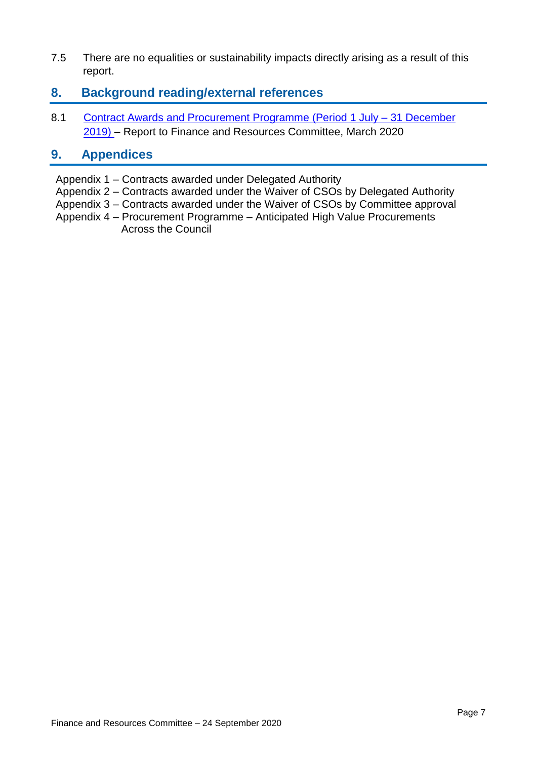7.5 There are no equalities or sustainability impacts directly arising as a result of this report.

#### **8. Background reading/external references**

8.1 [Contract Awards and Procurement Programme \(Period 1 July –](https://democracy.edinburgh.gov.uk/ieListDocuments.aspx?CId=140&MId=349&Ver=4) 31 December [2019\)](https://democracy.edinburgh.gov.uk/ieListDocuments.aspx?CId=140&MId=349&Ver=4) – Report to Finance and Resources Committee, March 2020

#### **9. Appendices**

- Appendix 1 Contracts awarded under Delegated Authority
- Appendix 2 Contracts awarded under the Waiver of CSOs by Delegated Authority
- Appendix 3 Contracts awarded under the Waiver of CSOs by Committee approval
- Appendix 4 Procurement Programme Anticipated High Value Procurements Across the Council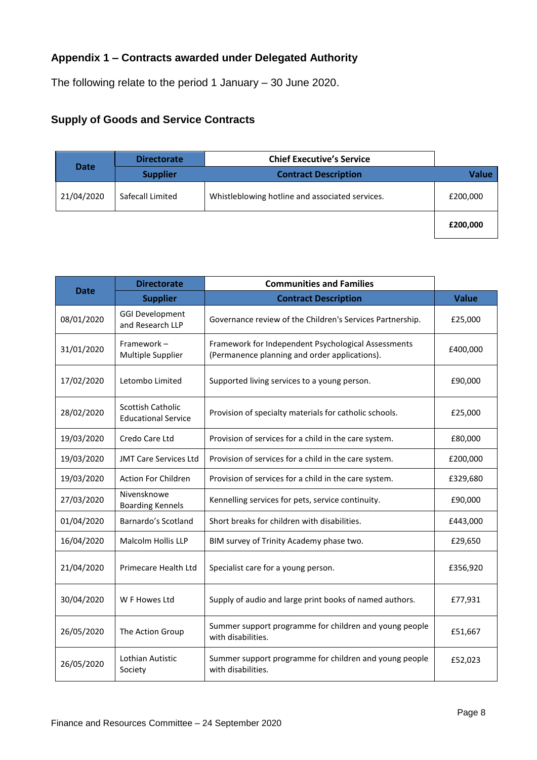# **Appendix 1 – Contracts awarded under Delegated Authority**

The following relate to the period 1 January – 30 June 2020.

# **Supply of Goods and Service Contracts**

| <b>Date</b> | <b>Directorate</b> | <b>Chief Executive's Service</b>                |              |
|-------------|--------------------|-------------------------------------------------|--------------|
|             | <b>Supplier</b>    | <b>Contract Description</b>                     | <b>Value</b> |
| 21/04/2020  | Safecall Limited   | Whistleblowing hotline and associated services. | £200,000     |
|             |                    |                                                 | £200,000     |

| <b>Date</b> | <b>Directorate</b>                              | <b>Communities and Families</b>                                                                      |              |
|-------------|-------------------------------------------------|------------------------------------------------------------------------------------------------------|--------------|
|             | <b>Supplier</b>                                 | <b>Contract Description</b>                                                                          | <b>Value</b> |
| 08/01/2020  | <b>GGI Development</b><br>and Research LLP      | Governance review of the Children's Services Partnership.                                            | £25,000      |
| 31/01/2020  | Framework-<br>Multiple Supplier                 | Framework for Independent Psychological Assessments<br>(Permanence planning and order applications). | £400,000     |
| 17/02/2020  | Letombo Limited                                 | Supported living services to a young person.                                                         | £90,000      |
| 28/02/2020  | Scottish Catholic<br><b>Educational Service</b> | Provision of specialty materials for catholic schools.                                               | £25,000      |
| 19/03/2020  | Credo Care Ltd                                  | Provision of services for a child in the care system.                                                | £80,000      |
| 19/03/2020  | <b>JMT Care Services Ltd</b>                    | Provision of services for a child in the care system.                                                | £200,000     |
| 19/03/2020  | Action For Children                             | Provision of services for a child in the care system.                                                | £329,680     |
| 27/03/2020  | Nivensknowe<br><b>Boarding Kennels</b>          | Kennelling services for pets, service continuity.                                                    | £90,000      |
| 01/04/2020  | Barnardo's Scotland                             | Short breaks for children with disabilities.                                                         | £443,000     |
| 16/04/2020  | Malcolm Hollis LLP                              | BIM survey of Trinity Academy phase two.                                                             | £29,650      |
| 21/04/2020  | Primecare Health Ltd                            | Specialist care for a young person.                                                                  | £356,920     |
| 30/04/2020  | W F Howes Ltd                                   | Supply of audio and large print books of named authors.                                              | £77,931      |
| 26/05/2020  | The Action Group                                | Summer support programme for children and young people<br>with disabilities.                         | £51,667      |
| 26/05/2020  | Lothian Autistic<br>Society                     | Summer support programme for children and young people<br>with disabilities.                         | £52,023      |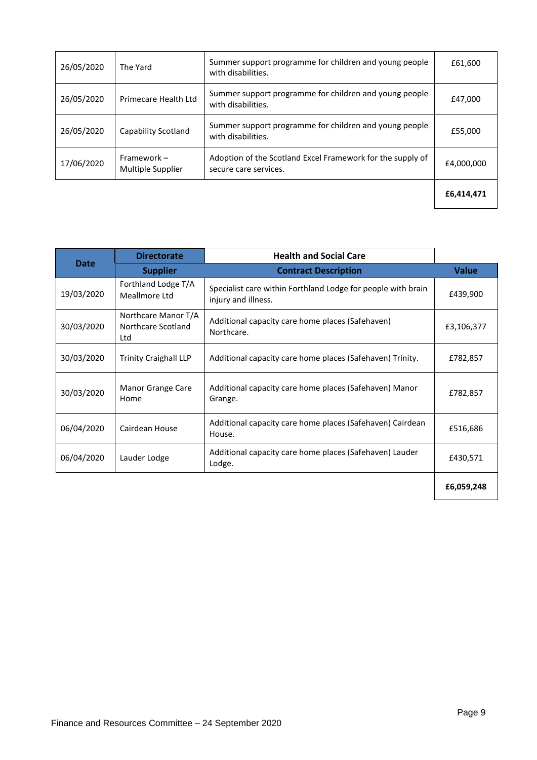| 26/05/2020 | The Yard                         | Summer support programme for children and young people<br>with disabilities.        | £61,600    |
|------------|----------------------------------|-------------------------------------------------------------------------------------|------------|
| 26/05/2020 | Primecare Health Ltd             | Summer support programme for children and young people<br>with disabilities.        | £47,000    |
| 26/05/2020 | Capability Scotland              | Summer support programme for children and young people<br>with disabilities.        | £55,000    |
| 17/06/2020 | Framework -<br>Multiple Supplier | Adoption of the Scotland Excel Framework for the supply of<br>secure care services. | £4,000,000 |
|            |                                  |                                                                                     | £6,414,471 |

|             | <b>Directorate</b>                               | <b>Health and Social Care</b>                                                       |              |
|-------------|--------------------------------------------------|-------------------------------------------------------------------------------------|--------------|
| <b>Date</b> | <b>Supplier</b>                                  | <b>Contract Description</b>                                                         | <b>Value</b> |
| 19/03/2020  | Forthland Lodge T/A<br>Meallmore Ltd             | Specialist care within Forthland Lodge for people with brain<br>injury and illness. | £439,900     |
| 30/03/2020  | Northcare Manor T/A<br>Northcare Scotland<br>Ltd | Additional capacity care home places (Safehaven)<br>Northcare.                      | £3,106,377   |
| 30/03/2020  | <b>Trinity Craighall LLP</b>                     | Additional capacity care home places (Safehaven) Trinity.                           | £782,857     |
| 30/03/2020  | Manor Grange Care<br>Home                        | Additional capacity care home places (Safehaven) Manor<br>Grange.                   | £782,857     |
| 06/04/2020  | Cairdean House                                   | Additional capacity care home places (Safehaven) Cairdean<br>House.                 | £516,686     |
| 06/04/2020  | Lauder Lodge                                     | Additional capacity care home places (Safehaven) Lauder<br>Lodge.                   | £430,571     |
|             |                                                  |                                                                                     | £6,059,248   |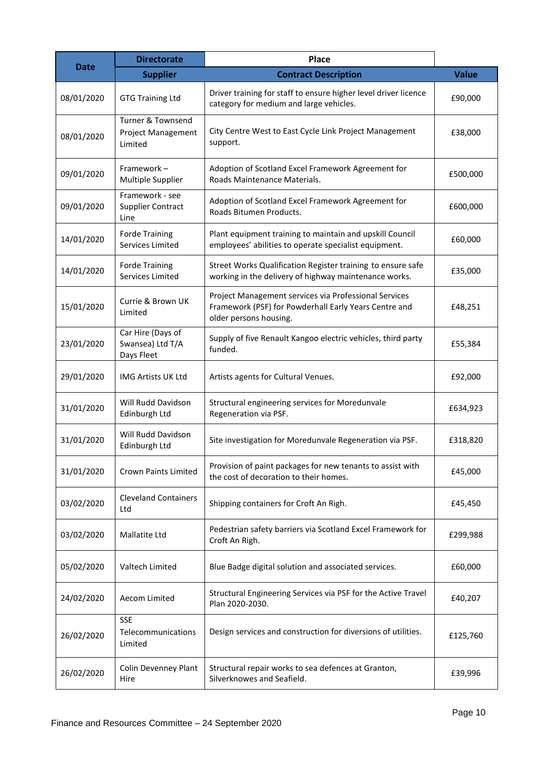|             | <b>Directorate</b>                                                   | Place                                                                                                                                    |              |
|-------------|----------------------------------------------------------------------|------------------------------------------------------------------------------------------------------------------------------------------|--------------|
| <b>Date</b> | <b>Supplier</b>                                                      | <b>Contract Description</b>                                                                                                              | <b>Value</b> |
| 08/01/2020  | <b>GTG Training Ltd</b>                                              | Driver training for staff to ensure higher level driver licence<br>category for medium and large vehicles.                               | £90,000      |
| 08/01/2020  | <b>Turner &amp; Townsend</b><br><b>Project Management</b><br>Limited | City Centre West to East Cycle Link Project Management<br>support.                                                                       | £38,000      |
| 09/01/2020  | Framework-<br>Multiple Supplier                                      | Adoption of Scotland Excel Framework Agreement for<br>Roads Maintenance Materials.                                                       | £500,000     |
| 09/01/2020  | Framework - see<br><b>Supplier Contract</b><br>Line                  | Adoption of Scotland Excel Framework Agreement for<br>Roads Bitumen Products.                                                            | £600,000     |
| 14/01/2020  | <b>Forde Training</b><br>Services Limited                            | Plant equipment training to maintain and upskill Council<br>employees' abilities to operate specialist equipment.                        | £60,000      |
| 14/01/2020  | <b>Forde Training</b><br>Services Limited                            | Street Works Qualification Register training to ensure safe<br>working in the delivery of highway maintenance works.                     | £35,000      |
| 15/01/2020  | Currie & Brown UK<br>Limited                                         | Project Management services via Professional Services<br>Framework (PSF) for Powderhall Early Years Centre and<br>older persons housing. | £48,251      |
| 23/01/2020  | Car Hire (Days of<br>Swansea) Ltd T/A<br>Days Fleet                  | Supply of five Renault Kangoo electric vehicles, third party<br>funded.                                                                  | £55,384      |
| 29/01/2020  | IMG Artists UK Ltd                                                   | Artists agents for Cultural Venues.                                                                                                      | £92,000      |
| 31/01/2020  | Will Rudd Davidson<br>Edinburgh Ltd                                  | Structural engineering services for Moredunvale<br>Regeneration via PSF.                                                                 | £634,923     |
| 31/01/2020  | Will Rudd Davidson<br>Edinburgh Ltd                                  | Site investigation for Moredunvale Regeneration via PSF.                                                                                 | £318,820     |
| 31/01/2020  | <b>Crown Paints Limited</b>                                          | Provision of paint packages for new tenants to assist with<br>the cost of decoration to their homes.                                     | £45,000      |
| 03/02/2020  | <b>Cleveland Containers</b><br>Ltd                                   | Shipping containers for Croft An Righ.                                                                                                   | £45,450      |
| 03/02/2020  | Mallatite Ltd                                                        | Pedestrian safety barriers via Scotland Excel Framework for<br>Croft An Righ.                                                            | £299,988     |
| 05/02/2020  | Valtech Limited                                                      | Blue Badge digital solution and associated services.                                                                                     | £60,000      |
| 24/02/2020  | Aecom Limited                                                        | Structural Engineering Services via PSF for the Active Travel<br>Plan 2020-2030.                                                         | £40,207      |
| 26/02/2020  | <b>SSE</b><br>Telecommunications<br>Limited                          | Design services and construction for diversions of utilities.                                                                            | £125,760     |
| 26/02/2020  | Colin Devenney Plant<br>Hire                                         | Structural repair works to sea defences at Granton,<br>Silverknowes and Seafield.                                                        | £39,996      |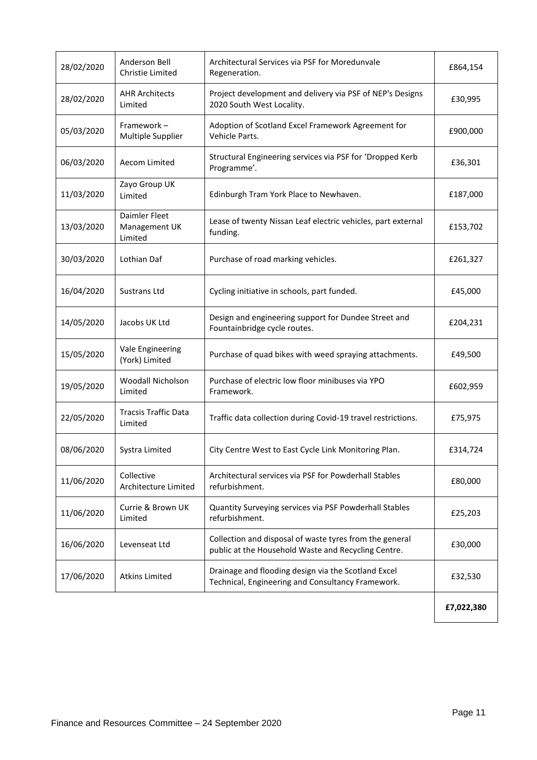| 28/02/2020 | Anderson Bell<br>Christie Limited         | Architectural Services via PSF for Moredunvale<br>Regeneration.                                                | £864,154   |
|------------|-------------------------------------------|----------------------------------------------------------------------------------------------------------------|------------|
| 28/02/2020 | <b>AHR Architects</b><br>Limited          | Project development and delivery via PSF of NEP's Designs<br>2020 South West Locality.                         | £30,995    |
| 05/03/2020 | Framework-<br>Multiple Supplier           | Adoption of Scotland Excel Framework Agreement for<br>Vehicle Parts.                                           | £900,000   |
| 06/03/2020 | Aecom Limited                             | Structural Engineering services via PSF for 'Dropped Kerb<br>Programme'.                                       | £36,301    |
| 11/03/2020 | Zayo Group UK<br>Limited                  | Edinburgh Tram York Place to Newhaven.                                                                         | £187,000   |
| 13/03/2020 | Daimler Fleet<br>Management UK<br>Limited | Lease of twenty Nissan Leaf electric vehicles, part external<br>funding.                                       | £153,702   |
| 30/03/2020 | Lothian Daf                               | Purchase of road marking vehicles.                                                                             | £261,327   |
| 16/04/2020 | Sustrans Ltd                              | Cycling initiative in schools, part funded.                                                                    | £45,000    |
| 14/05/2020 | Jacobs UK Ltd                             | Design and engineering support for Dundee Street and<br>Fountainbridge cycle routes.                           | £204,231   |
| 15/05/2020 | Vale Engineering<br>(York) Limited        | Purchase of quad bikes with weed spraying attachments.                                                         | £49,500    |
| 19/05/2020 | Woodall Nicholson<br>Limited              | Purchase of electric low floor minibuses via YPO<br>Framework.                                                 | £602,959   |
| 22/05/2020 | <b>Tracsis Traffic Data</b><br>Limited    | Traffic data collection during Covid-19 travel restrictions.                                                   | £75,975    |
| 08/06/2020 | Systra Limited                            | City Centre West to East Cycle Link Monitoring Plan.                                                           | £314,724   |
| 11/06/2020 | Collective<br>Architecture Limited        | Architectural services via PSF for Powderhall Stables<br>refurbishment.                                        | £80,000    |
| 11/06/2020 | Currie & Brown UK<br>Limited              | Quantity Surveying services via PSF Powderhall Stables<br>refurbishment.                                       | £25,203    |
| 16/06/2020 | Levenseat Ltd                             | Collection and disposal of waste tyres from the general<br>public at the Household Waste and Recycling Centre. | £30,000    |
| 17/06/2020 | <b>Atkins Limited</b>                     | Drainage and flooding design via the Scotland Excel<br>Technical, Engineering and Consultancy Framework.       | £32,530    |
|            |                                           |                                                                                                                | £7,022,380 |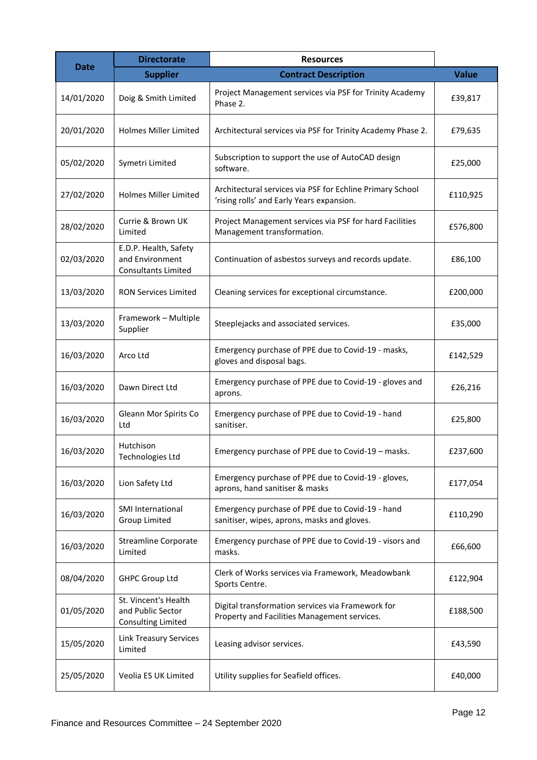|             | <b>Directorate</b>                                                     | <b>Resources</b>                                                                                       |              |
|-------------|------------------------------------------------------------------------|--------------------------------------------------------------------------------------------------------|--------------|
| <b>Date</b> | <b>Supplier</b>                                                        | <b>Contract Description</b>                                                                            | <b>Value</b> |
| 14/01/2020  | Doig & Smith Limited                                                   | Project Management services via PSF for Trinity Academy<br>Phase 2.                                    | £39,817      |
| 20/01/2020  | <b>Holmes Miller Limited</b>                                           | Architectural services via PSF for Trinity Academy Phase 2.                                            | £79,635      |
| 05/02/2020  | Symetri Limited                                                        | Subscription to support the use of AutoCAD design<br>software.                                         | £25,000      |
| 27/02/2020  | <b>Holmes Miller Limited</b>                                           | Architectural services via PSF for Echline Primary School<br>'rising rolls' and Early Years expansion. | £110,925     |
| 28/02/2020  | Currie & Brown UK<br>Limited                                           | Project Management services via PSF for hard Facilities<br>Management transformation.                  | £576,800     |
| 02/03/2020  | E.D.P. Health, Safety<br>and Environment<br><b>Consultants Limited</b> | Continuation of asbestos surveys and records update.                                                   | £86,100      |
| 13/03/2020  | <b>RON Services Limited</b>                                            | Cleaning services for exceptional circumstance.                                                        | £200,000     |
| 13/03/2020  | Framework - Multiple<br>Supplier                                       | Steeplejacks and associated services.                                                                  | £35,000      |
| 16/03/2020  | Arco Ltd                                                               | Emergency purchase of PPE due to Covid-19 - masks,<br>gloves and disposal bags.                        | £142,529     |
| 16/03/2020  | Dawn Direct Ltd                                                        | Emergency purchase of PPE due to Covid-19 - gloves and<br>aprons.                                      | £26,216      |
| 16/03/2020  | Gleann Mor Spirits Co<br>Ltd                                           | Emergency purchase of PPE due to Covid-19 - hand<br>sanitiser.                                         | £25,800      |
| 16/03/2020  | Hutchison<br>Technologies Ltd                                          | Emergency purchase of PPE due to Covid-19 - masks.                                                     | £237,600     |
| 16/03/2020  | Lion Safety Ltd                                                        | Emergency purchase of PPE due to Covid-19 - gloves,<br>aprons, hand sanitiser & masks                  | £177,054     |
| 16/03/2020  | SMI International<br>Group Limited                                     | Emergency purchase of PPE due to Covid-19 - hand<br>sanitiser, wipes, aprons, masks and gloves.        | £110,290     |
| 16/03/2020  | <b>Streamline Corporate</b><br>Limited                                 | Emergency purchase of PPE due to Covid-19 - visors and<br>masks.                                       | £66,600      |
| 08/04/2020  | <b>GHPC Group Ltd</b>                                                  | Clerk of Works services via Framework, Meadowbank<br>Sports Centre.                                    | £122,904     |
| 01/05/2020  | St. Vincent's Health<br>and Public Sector<br>Consulting Limited        | Digital transformation services via Framework for<br>Property and Facilities Management services.      | £188,500     |
| 15/05/2020  | <b>Link Treasury Services</b><br>Limited                               | Leasing advisor services.                                                                              | £43,590      |
| 25/05/2020  | Veolia ES UK Limited                                                   | Utility supplies for Seafield offices.                                                                 | £40,000      |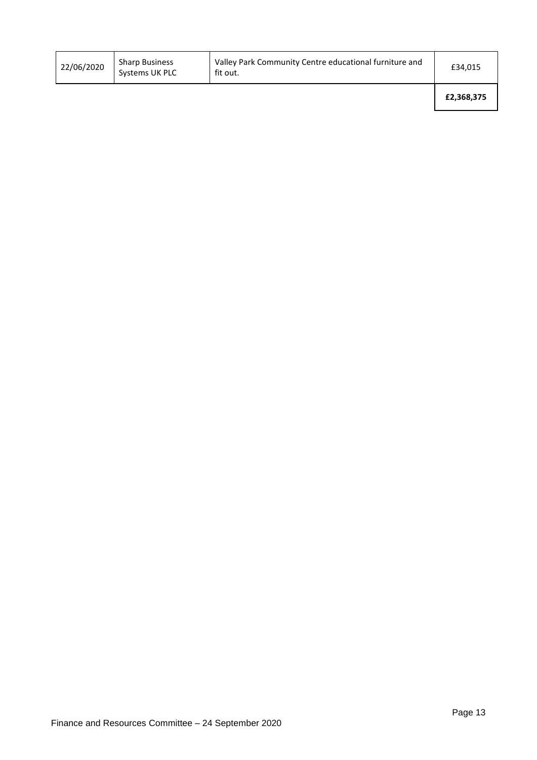| 22/06/2020 | <b>Sharp Business</b><br>Systems UK PLC | Valley Park Community Centre educational furniture and<br>fit out. | £34,015    |
|------------|-----------------------------------------|--------------------------------------------------------------------|------------|
|            |                                         |                                                                    | £2,368,375 |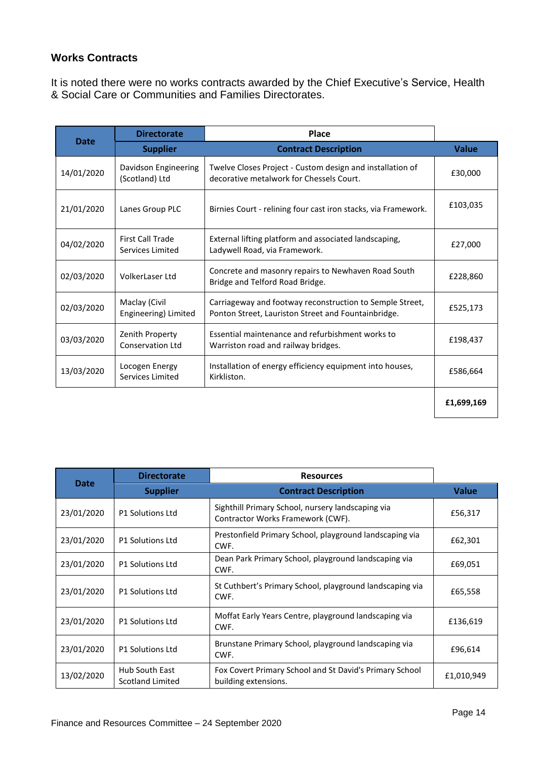#### **Works Contracts**

It is noted there were no works contracts awarded by the Chief Executive's Service, Health & Social Care or Communities and Families Directorates.

|             | <b>Directorate</b>                          | <b>Place</b>                                                                                                    |              |
|-------------|---------------------------------------------|-----------------------------------------------------------------------------------------------------------------|--------------|
| <b>Date</b> | <b>Supplier</b>                             | <b>Contract Description</b>                                                                                     | <b>Value</b> |
| 14/01/2020  | Davidson Engineering<br>(Scotland) Ltd      | Twelve Closes Project - Custom design and installation of<br>decorative metalwork for Chessels Court.           | £30,000      |
| 21/01/2020  | Lanes Group PLC                             | Birnies Court - relining four cast iron stacks, via Framework.                                                  | £103,035     |
| 04/02/2020  | <b>First Call Trade</b><br>Services Limited | External lifting platform and associated landscaping,<br>Ladywell Road, via Framework.                          | £27,000      |
| 02/03/2020  | VolkerLaser Ltd                             | Concrete and masonry repairs to Newhaven Road South<br>Bridge and Telford Road Bridge.                          | £228,860     |
| 02/03/2020  | Maclay (Civil<br>Engineering) Limited       | Carriageway and footway reconstruction to Semple Street,<br>Ponton Street, Lauriston Street and Fountainbridge. | £525,173     |
| 03/03/2020  | Zenith Property<br>Conservation Ltd         | Essential maintenance and refurbishment works to<br>Warriston road and railway bridges.                         | £198,437     |
| 13/03/2020  | Locogen Energy<br>Services Limited          | Installation of energy efficiency equipment into houses,<br>Kirkliston.                                         | £586,664     |
|             |                                             |                                                                                                                 | £1,699,169   |

|             | <b>Directorate</b>                        | <b>Resources</b>                                                                       |              |
|-------------|-------------------------------------------|----------------------------------------------------------------------------------------|--------------|
| <b>Date</b> | <b>Supplier</b>                           | <b>Contract Description</b>                                                            | <b>Value</b> |
| 23/01/2020  | <b>P1 Solutions Ltd</b>                   | Sighthill Primary School, nursery landscaping via<br>Contractor Works Framework (CWF). | £56,317      |
| 23/01/2020  | <b>P1 Solutions Ltd</b>                   | Prestonfield Primary School, playground landscaping via<br>CWF.                        | £62,301      |
| 23/01/2020  | <b>P1 Solutions Ltd</b>                   | Dean Park Primary School, playground landscaping via<br>CWF.                           | £69,051      |
| 23/01/2020  | <b>P1 Solutions Ltd</b>                   | St Cuthbert's Primary School, playground landscaping via<br>CWF.                       | £65,558      |
| 23/01/2020  | <b>P1 Solutions Ltd</b>                   | Moffat Early Years Centre, playground landscaping via<br>CWF.                          | £136,619     |
| 23/01/2020  | <b>P1 Solutions Ltd</b>                   | Brunstane Primary School, playground landscaping via<br>CWF.                           | £96,614      |
| 13/02/2020  | <b>Hub South East</b><br>Scotland Limited | Fox Covert Primary School and St David's Primary School<br>building extensions.        | £1,010,949   |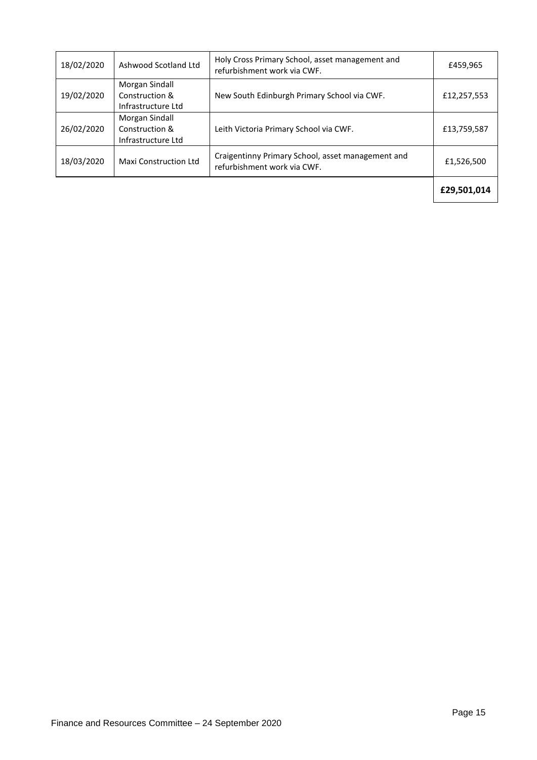| 18/02/2020 | Ashwood Scotland Ltd                                   | Holy Cross Primary School, asset management and<br>refurbishment work via CWF.   | £459,965    |
|------------|--------------------------------------------------------|----------------------------------------------------------------------------------|-------------|
| 19/02/2020 | Morgan Sindall<br>Construction &<br>Infrastructure Ltd | New South Edinburgh Primary School via CWF.                                      | £12,257,553 |
| 26/02/2020 | Morgan Sindall<br>Construction &<br>Infrastructure Ltd | Leith Victoria Primary School via CWF.                                           | £13,759,587 |
| 18/03/2020 | <b>Maxi Construction Ltd</b>                           | Craigentinny Primary School, asset management and<br>refurbishment work via CWF. | £1,526,500  |
|            |                                                        |                                                                                  | £29,501,014 |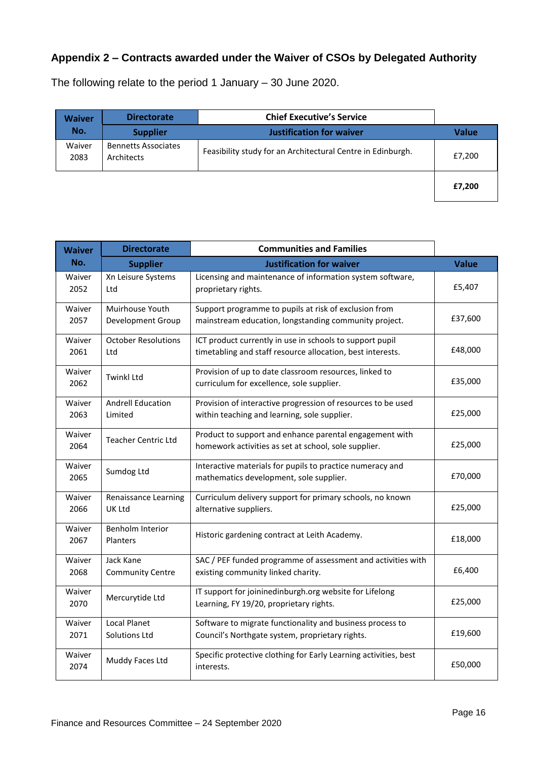# **Appendix 2 – Contracts awarded under the Waiver of CSOs by Delegated Authority**

The following relate to the period 1 January – 30 June 2020.

| <b>Waiver</b>  | <b>Directorate</b>                       | <b>Chief Executive's Service</b>                            |              |
|----------------|------------------------------------------|-------------------------------------------------------------|--------------|
| No.            | <b>Supplier</b>                          | <b>Justification for waiver</b>                             | <b>Value</b> |
| Waiver<br>2083 | <b>Bennetts Associates</b><br>Architects | Feasibility study for an Architectural Centre in Edinburgh. | £7,200       |
|                |                                          |                                                             | £7.200       |

| <b>Waiver</b>  | <b>Directorate</b>                          | <b>Communities and Families</b>                                                                                        |              |
|----------------|---------------------------------------------|------------------------------------------------------------------------------------------------------------------------|--------------|
| No.            | <b>Supplier</b>                             | <b>Justification for waiver</b>                                                                                        | <b>Value</b> |
| Waiver<br>2052 | Xn Leisure Systems<br>Ltd                   | Licensing and maintenance of information system software,<br>proprietary rights.                                       | £5,407       |
| Waiver<br>2057 | Muirhouse Youth<br>Development Group        | Support programme to pupils at risk of exclusion from<br>mainstream education, longstanding community project.         | £37,600      |
| Waiver<br>2061 | <b>October Resolutions</b><br>Ltd           | ICT product currently in use in schools to support pupil<br>timetabling and staff resource allocation, best interests. | £48,000      |
| Waiver<br>2062 | <b>Twinkl Ltd</b>                           | Provision of up to date classroom resources, linked to<br>curriculum for excellence, sole supplier.                    | £35,000      |
| Waiver<br>2063 | <b>Andrell Education</b><br>Limited         | Provision of interactive progression of resources to be used<br>within teaching and learning, sole supplier.           | £25,000      |
| Waiver<br>2064 | <b>Teacher Centric Ltd</b>                  | Product to support and enhance parental engagement with<br>homework activities as set at school, sole supplier.        | £25,000      |
| Waiver<br>2065 | Sumdog Ltd                                  | Interactive materials for pupils to practice numeracy and<br>mathematics development, sole supplier.                   | £70,000      |
| Waiver<br>2066 | <b>Renaissance Learning</b><br>UK Ltd       | Curriculum delivery support for primary schools, no known<br>alternative suppliers.                                    | £25,000      |
| Waiver<br>2067 | <b>Benholm Interior</b><br><b>Planters</b>  | Historic gardening contract at Leith Academy.                                                                          | £18,000      |
| Waiver<br>2068 | Jack Kane<br><b>Community Centre</b>        | SAC / PEF funded programme of assessment and activities with<br>existing community linked charity.                     | £6,400       |
| Waiver<br>2070 | Mercurytide Ltd                             | IT support for joininedinburgh.org website for Lifelong<br>Learning, FY 19/20, proprietary rights.                     | £25,000      |
| Waiver<br>2071 | <b>Local Planet</b><br><b>Solutions Ltd</b> | Software to migrate functionality and business process to<br>Council's Northgate system, proprietary rights.           | £19,600      |
| Waiver<br>2074 | Muddy Faces Ltd                             | Specific protective clothing for Early Learning activities, best<br>interests.                                         | £50,000      |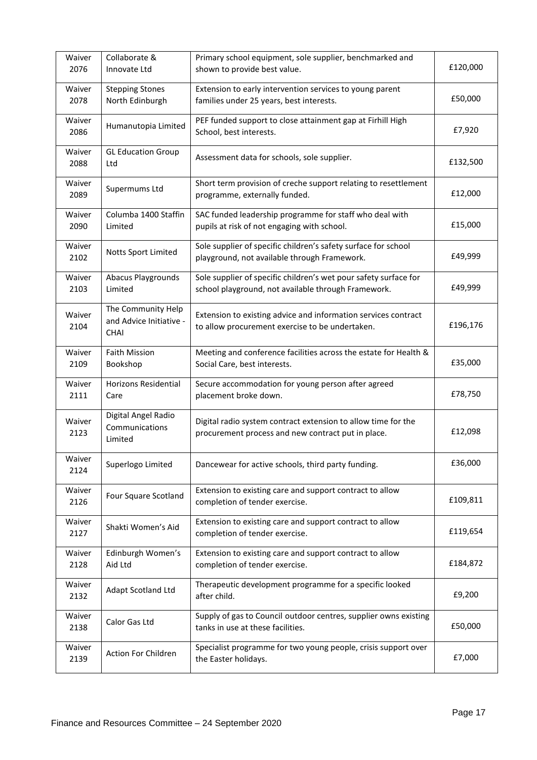| Waiver<br>2076 | Collaborate &<br>Innovate Ltd                                | Primary school equipment, sole supplier, benchmarked and<br>shown to provide best value.                                | £120,000 |
|----------------|--------------------------------------------------------------|-------------------------------------------------------------------------------------------------------------------------|----------|
| Waiver<br>2078 | <b>Stepping Stones</b><br>North Edinburgh                    | Extension to early intervention services to young parent<br>families under 25 years, best interests.                    | £50,000  |
| Waiver<br>2086 | Humanutopia Limited                                          | PEF funded support to close attainment gap at Firhill High<br>School, best interests.                                   | £7,920   |
| Waiver<br>2088 | <b>GL Education Group</b><br>Ltd                             | Assessment data for schools, sole supplier.                                                                             | £132,500 |
| Waiver<br>2089 | Supermums Ltd                                                | Short term provision of creche support relating to resettlement<br>programme, externally funded.                        | £12,000  |
| Waiver<br>2090 | Columba 1400 Staffin<br>Limited                              | SAC funded leadership programme for staff who deal with<br>pupils at risk of not engaging with school.                  | £15,000  |
| Waiver<br>2102 | Notts Sport Limited                                          | Sole supplier of specific children's safety surface for school<br>playground, not available through Framework.          | £49,999  |
| Waiver<br>2103 | <b>Abacus Playgrounds</b><br>Limited                         | Sole supplier of specific children's wet pour safety surface for<br>school playground, not available through Framework. | £49,999  |
| Waiver<br>2104 | The Community Help<br>and Advice Initiative -<br><b>CHAI</b> | Extension to existing advice and information services contract<br>to allow procurement exercise to be undertaken.       | £196,176 |
| Waiver<br>2109 | <b>Faith Mission</b><br>Bookshop                             | Meeting and conference facilities across the estate for Health &<br>Social Care, best interests.                        | £35,000  |
| Waiver<br>2111 | <b>Horizons Residential</b><br>Care                          | Secure accommodation for young person after agreed<br>placement broke down.                                             | £78,750  |
| Waiver<br>2123 | Digital Angel Radio<br>Communications<br>Limited             | Digital radio system contract extension to allow time for the<br>procurement process and new contract put in place.     | £12,098  |
| Waiver<br>2124 | Superlogo Limited                                            | Dancewear for active schools, third party funding.                                                                      | £36,000  |
| Waiver<br>2126 | Four Square Scotland                                         | Extension to existing care and support contract to allow<br>completion of tender exercise.                              | £109,811 |
| Waiver<br>2127 | Shakti Women's Aid                                           | Extension to existing care and support contract to allow<br>completion of tender exercise.                              | £119,654 |
| Waiver<br>2128 | Edinburgh Women's<br>Aid Ltd                                 | Extension to existing care and support contract to allow<br>completion of tender exercise.                              | £184,872 |
| Waiver<br>2132 | Adapt Scotland Ltd                                           | Therapeutic development programme for a specific looked<br>after child.                                                 | £9,200   |
| Waiver<br>2138 | Calor Gas Ltd                                                | Supply of gas to Council outdoor centres, supplier owns existing<br>tanks in use at these facilities.                   | £50,000  |
| Waiver<br>2139 | Action For Children                                          | Specialist programme for two young people, crisis support over<br>the Easter holidays.                                  | £7,000   |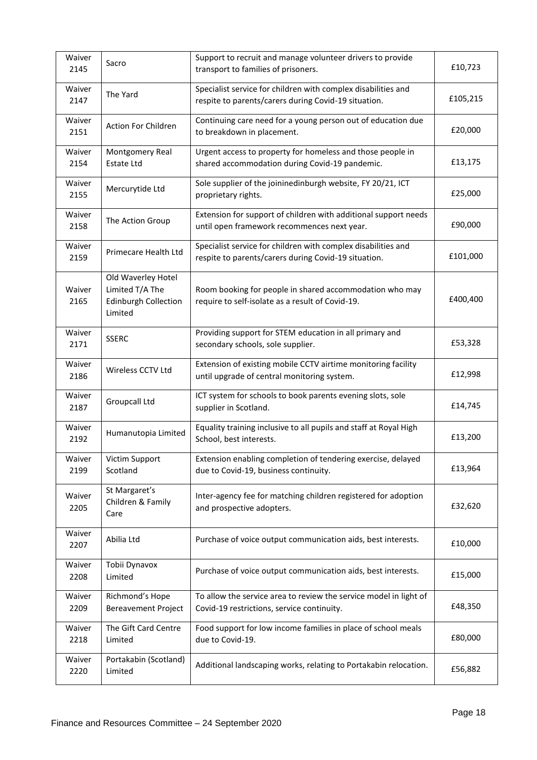| Waiver<br>2145 | Sacro                                                                           | Support to recruit and manage volunteer drivers to provide<br>transport to families of prisoners.                     | £10,723  |
|----------------|---------------------------------------------------------------------------------|-----------------------------------------------------------------------------------------------------------------------|----------|
| Waiver<br>2147 | The Yard                                                                        | Specialist service for children with complex disabilities and<br>respite to parents/carers during Covid-19 situation. | £105,215 |
| Waiver<br>2151 | Action For Children                                                             | Continuing care need for a young person out of education due<br>to breakdown in placement.                            | £20,000  |
| Waiver<br>2154 | Montgomery Real<br><b>Estate Ltd</b>                                            | Urgent access to property for homeless and those people in<br>shared accommodation during Covid-19 pandemic.          | £13,175  |
| Waiver<br>2155 | Mercurytide Ltd                                                                 | Sole supplier of the joininedinburgh website, FY 20/21, ICT<br>proprietary rights.                                    | £25,000  |
| Waiver<br>2158 | The Action Group                                                                | Extension for support of children with additional support needs<br>until open framework recommences next year.        | £90,000  |
| Waiver<br>2159 | Primecare Health Ltd                                                            | Specialist service for children with complex disabilities and<br>respite to parents/carers during Covid-19 situation. | £101,000 |
| Waiver<br>2165 | Old Waverley Hotel<br>Limited T/A The<br><b>Edinburgh Collection</b><br>Limited | Room booking for people in shared accommodation who may<br>require to self-isolate as a result of Covid-19.           | £400,400 |
| Waiver<br>2171 | <b>SSERC</b>                                                                    | Providing support for STEM education in all primary and<br>secondary schools, sole supplier.                          | £53,328  |
| Waiver<br>2186 | Wireless CCTV Ltd                                                               | Extension of existing mobile CCTV airtime monitoring facility<br>until upgrade of central monitoring system.          | £12,998  |
| Waiver<br>2187 | Groupcall Ltd                                                                   | ICT system for schools to book parents evening slots, sole<br>supplier in Scotland.                                   | £14,745  |
| Waiver<br>2192 | Humanutopia Limited                                                             | Equality training inclusive to all pupils and staff at Royal High<br>School, best interests.                          | £13,200  |
| Waiver<br>2199 | Victim Support<br>Scotland                                                      | Extension enabling completion of tendering exercise, delayed<br>due to Covid-19, business continuity.                 | £13,964  |
| Waiver<br>2205 | St Margaret's<br>Children & Family<br>Care                                      | Inter-agency fee for matching children registered for adoption<br>and prospective adopters.                           | £32,620  |
| Waiver<br>2207 | Abilia Ltd                                                                      | Purchase of voice output communication aids, best interests.                                                          | £10,000  |
| Waiver<br>2208 | Tobii Dynavox<br>Limited                                                        | Purchase of voice output communication aids, best interests.                                                          | £15,000  |
| Waiver<br>2209 | Richmond's Hope<br><b>Bereavement Project</b>                                   | To allow the service area to review the service model in light of<br>Covid-19 restrictions, service continuity.       | £48,350  |
| Waiver<br>2218 | The Gift Card Centre<br>Limited                                                 | Food support for low income families in place of school meals<br>due to Covid-19.                                     | £80,000  |
| Waiver<br>2220 | Portakabin (Scotland)<br>Limited                                                | Additional landscaping works, relating to Portakabin relocation.                                                      | £56,882  |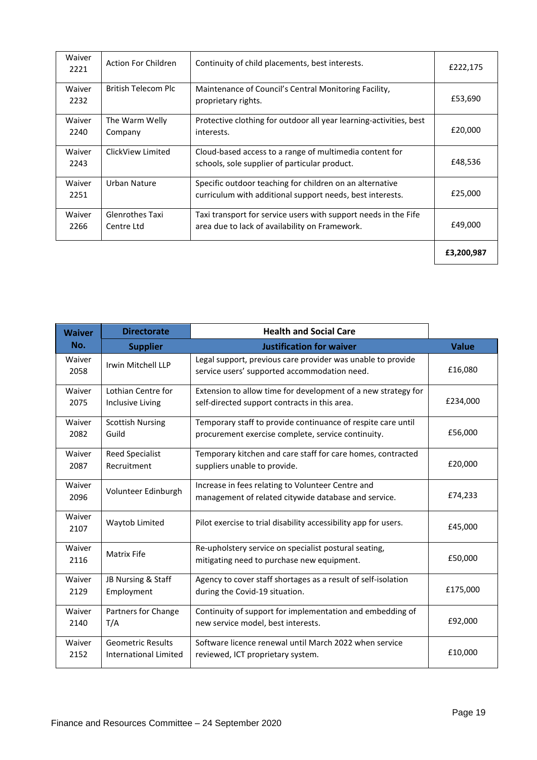| Waiver<br>2221 | <b>Action For Children</b>    | Continuity of child placements, best interests.                                                                       | £222,175   |
|----------------|-------------------------------|-----------------------------------------------------------------------------------------------------------------------|------------|
| Waiver<br>2232 | British Telecom Plc           | Maintenance of Council's Central Monitoring Facility,<br>proprietary rights.                                          | £53,690    |
| Waiver<br>2240 | The Warm Welly<br>Company     | Protective clothing for outdoor all year learning-activities, best<br>interests.                                      | £20,000    |
| Waiver<br>2243 | ClickView Limited             | Cloud-based access to a range of multimedia content for<br>schools, sole supplier of particular product.              | £48,536    |
| Waiver<br>2251 | Urban Nature                  | Specific outdoor teaching for children on an alternative<br>curriculum with additional support needs, best interests. | £25,000    |
| Waiver<br>2266 | Glenrothes Taxi<br>Centre Ltd | Taxi transport for service users with support needs in the Fife<br>area due to lack of availability on Framework.     | £49,000    |
|                |                               |                                                                                                                       | £3,200,987 |

| <b>Waiver</b>  | <b>Directorate</b>           | <b>Health and Social Care</b>                                                                               |              |
|----------------|------------------------------|-------------------------------------------------------------------------------------------------------------|--------------|
| No.            | <b>Supplier</b>              | <b>Justification for waiver</b>                                                                             | <b>Value</b> |
| Waiver<br>2058 | Irwin Mitchell LLP           | Legal support, previous care provider was unable to provide<br>service users' supported accommodation need. | £16,080      |
| Waiver         | Lothian Centre for           | Extension to allow time for development of a new strategy for                                               | £234,000     |
| 2075           | Inclusive Living             | self-directed support contracts in this area.                                                               |              |
| Waiver         | <b>Scottish Nursing</b>      | Temporary staff to provide continuance of respite care until                                                | £56,000      |
| 2082           | Guild                        | procurement exercise complete, service continuity.                                                          |              |
| Waiver         | <b>Reed Specialist</b>       | Temporary kitchen and care staff for care homes, contracted                                                 | £20,000      |
| 2087           | Recruitment                  | suppliers unable to provide.                                                                                |              |
| Waiver<br>2096 | Volunteer Edinburgh          | Increase in fees relating to Volunteer Centre and<br>management of related citywide database and service.   | £74,233      |
| Waiver<br>2107 | Waytob Limited               | Pilot exercise to trial disability accessibility app for users.                                             | £45,000      |
| Waiver<br>2116 | <b>Matrix Fife</b>           | Re-upholstery service on specialist postural seating,<br>mitigating need to purchase new equipment.         | £50,000      |
| Waiver         | JB Nursing & Staff           | Agency to cover staff shortages as a result of self-isolation                                               | £175,000     |
| 2129           | Employment                   | during the Covid-19 situation.                                                                              |              |
| Waiver         | Partners for Change          | Continuity of support for implementation and embedding of                                                   | £92,000      |
| 2140           | T/A                          | new service model, best interests.                                                                          |              |
| Waiver         | <b>Geometric Results</b>     | Software licence renewal until March 2022 when service                                                      | £10,000      |
| 2152           | <b>International Limited</b> | reviewed, ICT proprietary system.                                                                           |              |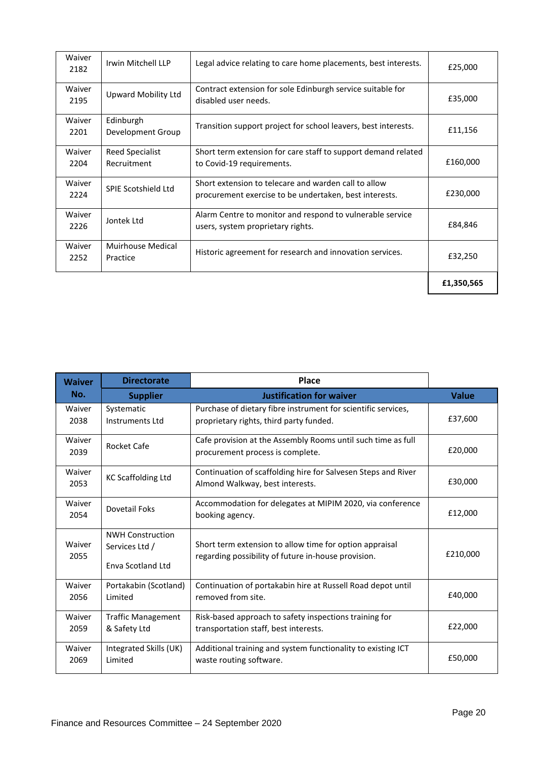| Waiver<br>2182 | Irwin Mitchell LLP             | Legal advice relating to care home placements, best interests.                                                 | £25,000    |
|----------------|--------------------------------|----------------------------------------------------------------------------------------------------------------|------------|
| Waiver<br>2195 | Upward Mobility Ltd            | Contract extension for sole Edinburgh service suitable for<br>disabled user needs.                             | £35,000    |
| Waiver<br>2201 | Edinburgh<br>Development Group | Transition support project for school leavers, best interests.                                                 | £11,156    |
| Waiver<br>2204 | Reed Specialist<br>Recruitment | Short term extension for care staff to support demand related<br>to Covid-19 requirements.                     | £160,000   |
| Waiver<br>2224 | <b>SPIE Scotshield Ltd</b>     | Short extension to telecare and warden call to allow<br>procurement exercise to be undertaken, best interests. | £230,000   |
| Waiver<br>2226 | Jontek Ltd                     | Alarm Centre to monitor and respond to vulnerable service<br>users, system proprietary rights.                 | £84,846    |
| Waiver<br>2252 | Muirhouse Medical<br>Practice  | Historic agreement for research and innovation services.                                                       | £32,250    |
|                |                                |                                                                                                                | £1,350,565 |

| <b>Waiver</b>  | <b>Directorate</b>                                             | Place                                                                                                          |              |
|----------------|----------------------------------------------------------------|----------------------------------------------------------------------------------------------------------------|--------------|
| No.            | <b>Supplier</b>                                                | <b>Justification for waiver</b>                                                                                | <b>Value</b> |
| Waiver<br>2038 | Systematic<br><b>Instruments Ltd</b>                           | Purchase of dietary fibre instrument for scientific services,<br>proprietary rights, third party funded.       | £37,600      |
| Waiver<br>2039 | Rocket Cafe                                                    | Cafe provision at the Assembly Rooms until such time as full<br>procurement process is complete.               | £20,000      |
| Waiver<br>2053 | <b>KC Scaffolding Ltd</b>                                      | Continuation of scaffolding hire for Salvesen Steps and River<br>Almond Walkway, best interests.               | £30,000      |
| Waiver<br>2054 | Dovetail Foks                                                  | Accommodation for delegates at MIPIM 2020, via conference<br>booking agency.                                   | £12,000      |
| Waiver<br>2055 | <b>NWH Construction</b><br>Services Ltd /<br>Enva Scotland Ltd | Short term extension to allow time for option appraisal<br>regarding possibility of future in-house provision. | £210,000     |
| Waiver<br>2056 | Portakabin (Scotland)<br>Limited                               | Continuation of portakabin hire at Russell Road depot until<br>removed from site.                              | £40.000      |
| Waiver<br>2059 | <b>Traffic Management</b><br>& Safety Ltd                      | Risk-based approach to safety inspections training for<br>transportation staff, best interests.                | £22,000      |
| Waiver<br>2069 | Integrated Skills (UK)<br>Limited                              | Additional training and system functionality to existing ICT<br>waste routing software.                        | £50,000      |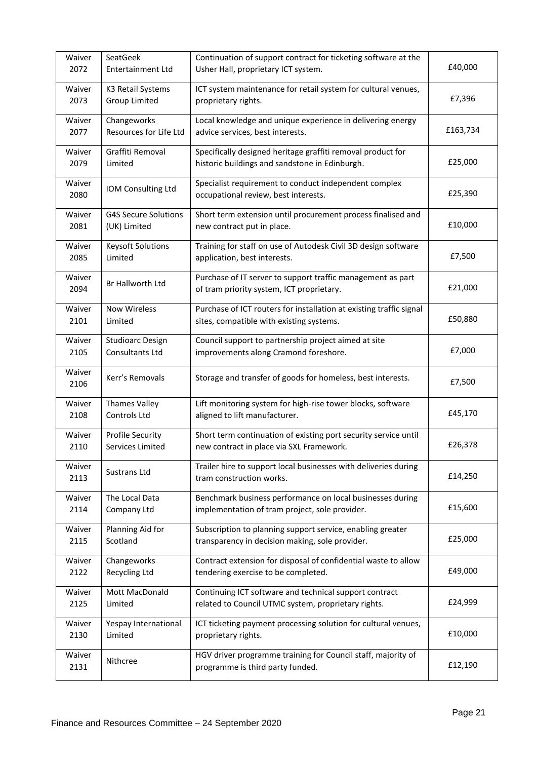| Waiver         | SeatGeek                    | Continuation of support contract for ticketing software at the                                           | £40,000  |
|----------------|-----------------------------|----------------------------------------------------------------------------------------------------------|----------|
| 2072           | <b>Entertainment Ltd</b>    | Usher Hall, proprietary ICT system.                                                                      |          |
| Waiver         | K3 Retail Systems           | ICT system maintenance for retail system for cultural venues,                                            | £7,396   |
| 2073           | Group Limited               | proprietary rights.                                                                                      |          |
| Waiver         | Changeworks                 | Local knowledge and unique experience in delivering energy                                               | £163,734 |
| 2077           | Resources for Life Ltd      | advice services, best interests.                                                                         |          |
| Waiver         | Graffiti Removal            | Specifically designed heritage graffiti removal product for                                              | £25,000  |
| 2079           | Limited                     | historic buildings and sandstone in Edinburgh.                                                           |          |
| Waiver<br>2080 | IOM Consulting Ltd          | Specialist requirement to conduct independent complex<br>occupational review, best interests.            | £25,390  |
| Waiver         | <b>G4S Secure Solutions</b> | Short term extension until procurement process finalised and                                             | £10,000  |
| 2081           | (UK) Limited                | new contract put in place.                                                                               |          |
| Waiver         | <b>Keysoft Solutions</b>    | Training for staff on use of Autodesk Civil 3D design software                                           | £7,500   |
| 2085           | Limited                     | application, best interests.                                                                             |          |
| Waiver<br>2094 | Br Hallworth Ltd            | Purchase of IT server to support traffic management as part<br>of tram priority system, ICT proprietary. | £21,000  |
| Waiver         | <b>Now Wireless</b>         | Purchase of ICT routers for installation at existing traffic signal                                      | £50,880  |
| 2101           | Limited                     | sites, compatible with existing systems.                                                                 |          |
| Waiver         | <b>Studioarc Design</b>     | Council support to partnership project aimed at site                                                     | £7,000   |
| 2105           | Consultants Ltd             | improvements along Cramond foreshore.                                                                    |          |
| Waiver<br>2106 | Kerr's Removals             | Storage and transfer of goods for homeless, best interests.                                              | £7,500   |
| Waiver         | <b>Thames Valley</b>        | Lift monitoring system for high-rise tower blocks, software                                              | £45,170  |
| 2108           | Controls Ltd                | aligned to lift manufacturer.                                                                            |          |
| Waiver         | <b>Profile Security</b>     | Short term continuation of existing port security service until                                          | £26,378  |
| 2110           | Services Limited            | new contract in place via SXL Framework.                                                                 |          |
| Waiver<br>2113 | Sustrans Ltd                | Trailer hire to support local businesses with deliveries during<br>tram construction works.              | £14,250  |
| Waiver         | The Local Data              | Benchmark business performance on local businesses during                                                | £15,600  |
| 2114           | Company Ltd                 | implementation of tram project, sole provider.                                                           |          |
| Waiver         | Planning Aid for            | Subscription to planning support service, enabling greater                                               | £25,000  |
| 2115           | Scotland                    | transparency in decision making, sole provider.                                                          |          |
| Waiver         | Changeworks                 | Contract extension for disposal of confidential waste to allow                                           | £49,000  |
| 2122           | Recycling Ltd               | tendering exercise to be completed.                                                                      |          |
| Waiver         | Mott MacDonald              | Continuing ICT software and technical support contract                                                   | £24,999  |
| 2125           | Limited                     | related to Council UTMC system, proprietary rights.                                                      |          |
| Waiver         | Yespay International        | ICT ticketing payment processing solution for cultural venues,                                           | £10,000  |
| 2130           | Limited                     | proprietary rights.                                                                                      |          |
| Waiver<br>2131 | Nithcree                    | HGV driver programme training for Council staff, majority of<br>programme is third party funded.         | £12,190  |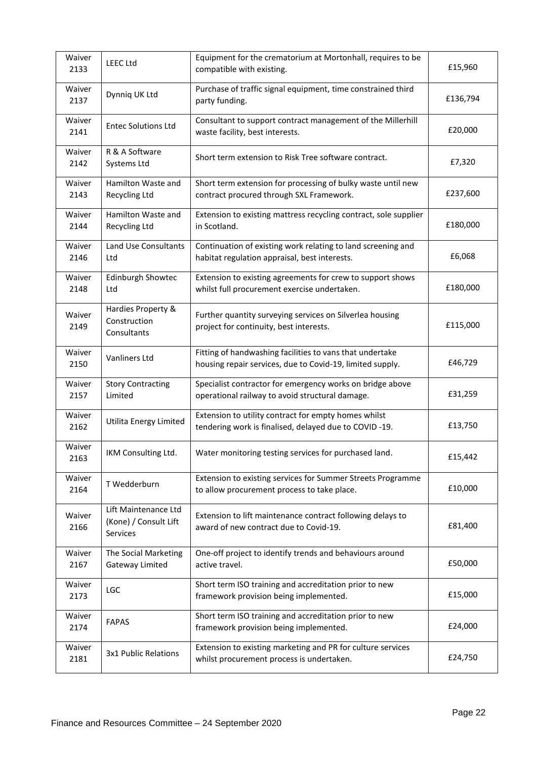| Waiver<br>2133 | <b>LEEC Ltd</b>                                           | Equipment for the crematorium at Mortonhall, requires to be<br>compatible with existing.                              | £15,960  |
|----------------|-----------------------------------------------------------|-----------------------------------------------------------------------------------------------------------------------|----------|
| Waiver<br>2137 | Dynniq UK Ltd                                             | Purchase of traffic signal equipment, time constrained third<br>party funding.                                        | £136,794 |
| Waiver<br>2141 | <b>Entec Solutions Ltd</b>                                | Consultant to support contract management of the Millerhill<br>waste facility, best interests.                        | £20,000  |
| Waiver<br>2142 | R & A Software<br>Systems Ltd                             | Short term extension to Risk Tree software contract.                                                                  | £7,320   |
| Waiver<br>2143 | Hamilton Waste and<br><b>Recycling Ltd</b>                | Short term extension for processing of bulky waste until new<br>contract procured through SXL Framework.              | £237,600 |
| Waiver<br>2144 | Hamilton Waste and<br><b>Recycling Ltd</b>                | Extension to existing mattress recycling contract, sole supplier<br>in Scotland.                                      | £180,000 |
| Waiver<br>2146 | Land Use Consultants<br>Ltd                               | Continuation of existing work relating to land screening and<br>habitat regulation appraisal, best interests.         | £6,068   |
| Waiver<br>2148 | <b>Edinburgh Showtec</b><br>Ltd                           | Extension to existing agreements for crew to support shows<br>whilst full procurement exercise undertaken.            | £180,000 |
| Waiver<br>2149 | Hardies Property &<br>Construction<br>Consultants         | Further quantity surveying services on Silverlea housing<br>project for continuity, best interests.                   | £115,000 |
| Waiver<br>2150 | Vanliners Ltd                                             | Fitting of handwashing facilities to vans that undertake<br>housing repair services, due to Covid-19, limited supply. | £46,729  |
| Waiver<br>2157 | <b>Story Contracting</b><br>Limited                       | Specialist contractor for emergency works on bridge above<br>operational railway to avoid structural damage.          | £31,259  |
| Waiver<br>2162 | Utilita Energy Limited                                    | Extension to utility contract for empty homes whilst<br>tendering work is finalised, delayed due to COVID-19.         | £13,750  |
| Waiver<br>2163 | IKM Consulting Ltd.                                       | Water monitoring testing services for purchased land.                                                                 | £15,442  |
| Waiver<br>2164 | T Wedderburn                                              | Extension to existing services for Summer Streets Programme<br>to allow procurement process to take place.            | £10,000  |
| Waiver<br>2166 | Lift Maintenance Ltd<br>(Kone) / Consult Lift<br>Services | Extension to lift maintenance contract following delays to<br>award of new contract due to Covid-19.                  | £81,400  |
| Waiver<br>2167 | The Social Marketing<br>Gateway Limited                   | One-off project to identify trends and behaviours around<br>active travel.                                            | £50,000  |
| Waiver<br>2173 | <b>LGC</b>                                                | Short term ISO training and accreditation prior to new<br>framework provision being implemented.                      | £15,000  |
| Waiver<br>2174 | <b>FAPAS</b>                                              | Short term ISO training and accreditation prior to new<br>framework provision being implemented.                      | £24,000  |
| Waiver<br>2181 | 3x1 Public Relations                                      | Extension to existing marketing and PR for culture services<br>whilst procurement process is undertaken.              | £24,750  |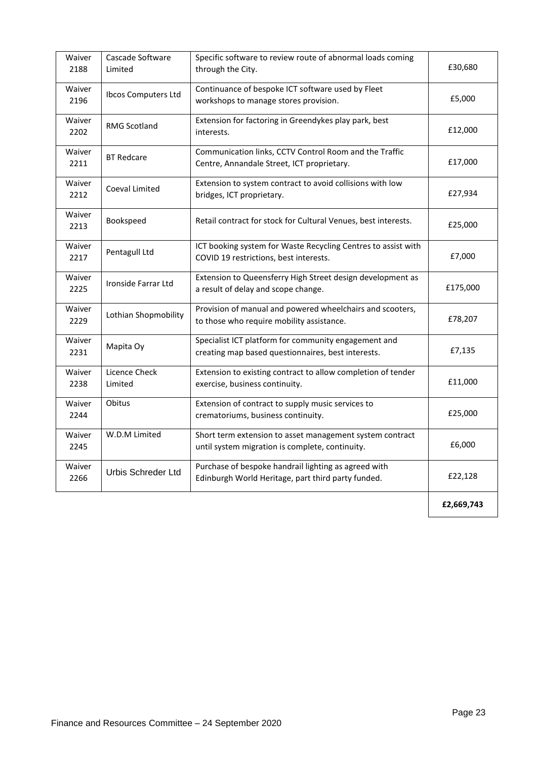| Waiver<br>2188 | Cascade Software<br>Limited | Specific software to review route of abnormal loads coming<br>through the City.                             | £30,680    |  |
|----------------|-----------------------------|-------------------------------------------------------------------------------------------------------------|------------|--|
| Waiver<br>2196 | Ibcos Computers Ltd         | Continuance of bespoke ICT software used by Fleet<br>workshops to manage stores provision.                  | £5,000     |  |
| Waiver<br>2202 | <b>RMG Scotland</b>         | Extension for factoring in Greendykes play park, best<br>interests.                                         | £12,000    |  |
| Waiver<br>2211 | <b>BT Redcare</b>           | Communication links, CCTV Control Room and the Traffic<br>Centre, Annandale Street, ICT proprietary.        | £17,000    |  |
| Waiver<br>2212 | Coeval Limited              | Extension to system contract to avoid collisions with low<br>bridges, ICT proprietary.                      | £27,934    |  |
| Waiver<br>2213 | Bookspeed                   | Retail contract for stock for Cultural Venues, best interests.                                              | £25,000    |  |
| Waiver<br>2217 | Pentagull Ltd               | ICT booking system for Waste Recycling Centres to assist with<br>COVID 19 restrictions, best interests.     | £7,000     |  |
| Waiver<br>2225 | Ironside Farrar Ltd         | Extension to Queensferry High Street design development as<br>a result of delay and scope change.           | £175,000   |  |
| Waiver<br>2229 | Lothian Shopmobility        | Provision of manual and powered wheelchairs and scooters,<br>to those who require mobility assistance.      | £78,207    |  |
| Waiver<br>2231 | Mapita Oy                   | Specialist ICT platform for community engagement and<br>creating map based questionnaires, best interests.  | £7,135     |  |
| Waiver<br>2238 | Licence Check<br>Limited    | Extension to existing contract to allow completion of tender<br>exercise, business continuity.              | £11,000    |  |
| Waiver<br>2244 | Obitus                      | Extension of contract to supply music services to<br>crematoriums, business continuity.                     | £25,000    |  |
| Waiver<br>2245 | W.D.M Limited               | Short term extension to asset management system contract<br>until system migration is complete, continuity. | £6,000     |  |
| Waiver<br>2266 | <b>Urbis Schreder Ltd</b>   | Purchase of bespoke handrail lighting as agreed with<br>Edinburgh World Heritage, part third party funded.  | £22,128    |  |
|                |                             |                                                                                                             | £2,669,743 |  |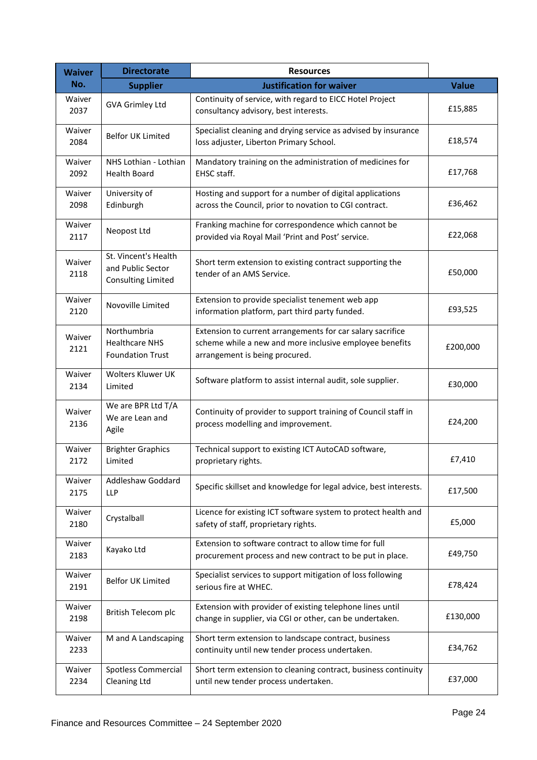| <b>Waiver</b>  | <b>Directorate</b>                                                     | <b>Resources</b>                                                                                                                                        |              |
|----------------|------------------------------------------------------------------------|---------------------------------------------------------------------------------------------------------------------------------------------------------|--------------|
| No.            | <b>Supplier</b>                                                        | <b>Justification for waiver</b>                                                                                                                         | <b>Value</b> |
| Waiver<br>2037 | <b>GVA Grimley Ltd</b>                                                 | Continuity of service, with regard to EICC Hotel Project<br>consultancy advisory, best interests.                                                       | £15,885      |
| Waiver<br>2084 | <b>Belfor UK Limited</b>                                               | Specialist cleaning and drying service as advised by insurance<br>loss adjuster, Liberton Primary School.                                               | £18,574      |
| Waiver<br>2092 | NHS Lothian - Lothian<br><b>Health Board</b>                           | Mandatory training on the administration of medicines for<br>EHSC staff.                                                                                | £17,768      |
| Waiver<br>2098 | University of<br>Edinburgh                                             | Hosting and support for a number of digital applications<br>across the Council, prior to novation to CGI contract.                                      | £36,462      |
| Waiver<br>2117 | Neopost Ltd                                                            | Franking machine for correspondence which cannot be<br>provided via Royal Mail 'Print and Post' service.                                                | £22,068      |
| Waiver<br>2118 | St. Vincent's Health<br>and Public Sector<br><b>Consulting Limited</b> | Short term extension to existing contract supporting the<br>tender of an AMS Service.                                                                   | £50,000      |
| Waiver<br>2120 | Novoville Limited                                                      | Extension to provide specialist tenement web app<br>information platform, part third party funded.                                                      | £93,525      |
| Waiver<br>2121 | Northumbria<br><b>Healthcare NHS</b><br><b>Foundation Trust</b>        | Extension to current arrangements for car salary sacrifice<br>scheme while a new and more inclusive employee benefits<br>arrangement is being procured. | £200,000     |
| Waiver<br>2134 | Wolters Kluwer UK<br>Limited                                           | Software platform to assist internal audit, sole supplier.                                                                                              | £30,000      |
| Waiver<br>2136 | We are BPR Ltd T/A<br>We are Lean and<br>Agile                         | Continuity of provider to support training of Council staff in<br>process modelling and improvement.                                                    | £24,200      |
| Waiver<br>2172 | <b>Brighter Graphics</b><br>Limited                                    | Technical support to existing ICT AutoCAD software,<br>proprietary rights.                                                                              | £7,410       |
| Waiver<br>2175 | Addleshaw Goddard<br><b>LLP</b>                                        | Specific skillset and knowledge for legal advice, best interests.                                                                                       | £17,500      |
| Waiver<br>2180 | Crystalball                                                            | Licence for existing ICT software system to protect health and<br>safety of staff, proprietary rights.                                                  | £5,000       |
| Waiver<br>2183 | Kayako Ltd                                                             | Extension to software contract to allow time for full<br>procurement process and new contract to be put in place.                                       | £49,750      |
| Waiver<br>2191 | Belfor UK Limited                                                      | Specialist services to support mitigation of loss following<br>serious fire at WHEC.                                                                    | £78,424      |
| Waiver<br>2198 | British Telecom plc                                                    | Extension with provider of existing telephone lines until<br>change in supplier, via CGI or other, can be undertaken.                                   | £130,000     |
| Waiver<br>2233 | M and A Landscaping                                                    | Short term extension to landscape contract, business<br>continuity until new tender process undertaken.                                                 | £34,762      |
| Waiver<br>2234 | <b>Spotless Commercial</b><br><b>Cleaning Ltd</b>                      | Short term extension to cleaning contract, business continuity<br>until new tender process undertaken.                                                  | £37,000      |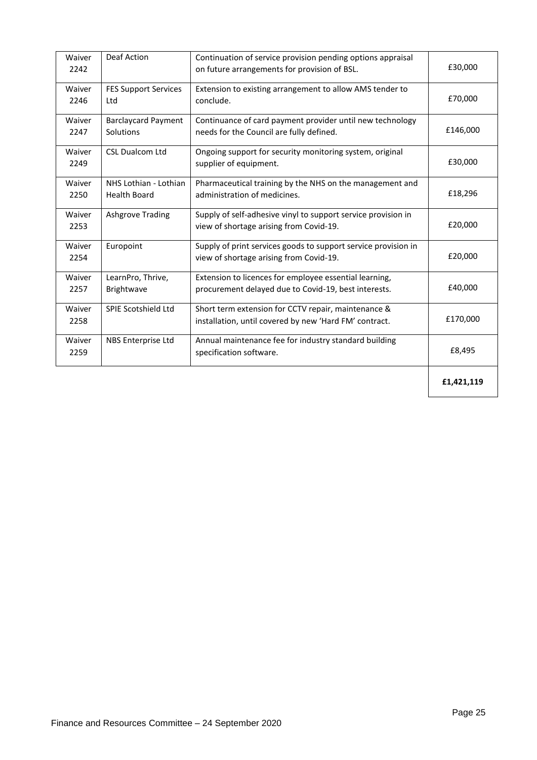| Waiver<br>2242 | Deaf Action                                  | Continuation of service provision pending options appraisal<br>on future arrangements for provision of BSL.    | £30,000    |
|----------------|----------------------------------------------|----------------------------------------------------------------------------------------------------------------|------------|
| Waiver<br>2246 | <b>FES Support Services</b><br>Ltd           | Extension to existing arrangement to allow AMS tender to<br>conclude.                                          | £70,000    |
| Waiver<br>2247 | <b>Barclaycard Payment</b><br>Solutions      | Continuance of card payment provider until new technology<br>needs for the Council are fully defined.          | £146,000   |
| Waiver<br>2249 | <b>CSL Dualcom Ltd</b>                       | Ongoing support for security monitoring system, original<br>supplier of equipment.                             | £30,000    |
| Waiver<br>2250 | NHS Lothian - Lothian<br><b>Health Board</b> | Pharmaceutical training by the NHS on the management and<br>administration of medicines.                       | £18,296    |
| Waiver<br>2253 | <b>Ashgrove Trading</b>                      | Supply of self-adhesive vinyl to support service provision in<br>view of shortage arising from Covid-19.       | £20,000    |
| Waiver<br>2254 | Europoint                                    | Supply of print services goods to support service provision in<br>view of shortage arising from Covid-19.      | £20,000    |
| Waiver<br>2257 | LearnPro, Thrive,<br>Brightwave              | Extension to licences for employee essential learning,<br>procurement delayed due to Covid-19, best interests. | £40,000    |
| Waiver<br>2258 | <b>SPIE Scotshield Ltd</b>                   | Short term extension for CCTV repair, maintenance &<br>installation, until covered by new 'Hard FM' contract.  | £170,000   |
| Waiver<br>2259 | NBS Enterprise Ltd                           | Annual maintenance fee for industry standard building<br>specification software.                               | £8,495     |
|                |                                              |                                                                                                                | £1,421,119 |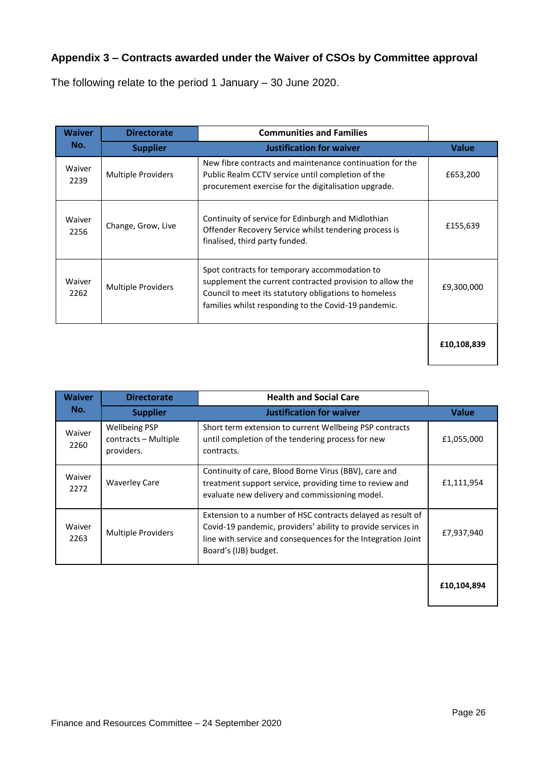# **Appendix 3 – Contracts awarded under the Waiver of CSOs by Committee approval**

The following relate to the period 1 January – 30 June 2020.

| <b>Waiver</b>  | <b>Directorate</b>        | <b>Communities and Families</b>                                                                                                                                                                                            |              |
|----------------|---------------------------|----------------------------------------------------------------------------------------------------------------------------------------------------------------------------------------------------------------------------|--------------|
| No.            | <b>Supplier</b>           | <b>Justification for waiver</b>                                                                                                                                                                                            | <b>Value</b> |
| Waiver<br>2239 | <b>Multiple Providers</b> | New fibre contracts and maintenance continuation for the<br>Public Realm CCTV service until completion of the<br>procurement exercise for the digitalisation upgrade.                                                      | £653,200     |
| Waiver<br>2256 | Change, Grow, Live        | Continuity of service for Edinburgh and Midlothian<br>Offender Recovery Service whilst tendering process is<br>finalised, third party funded.                                                                              | £155,639     |
| Waiver<br>2262 | <b>Multiple Providers</b> | Spot contracts for temporary accommodation to<br>supplement the current contracted provision to allow the<br>Council to meet its statutory obligations to homeless<br>families whilst responding to the Covid-19 pandemic. | £9,300,000   |
|                |                           |                                                                                                                                                                                                                            | £10,108,839  |

| <b>Waiver</b>  | <b>Directorate</b>                                         | <b>Health and Social Care</b>                                                                                                                                                                                        |              |
|----------------|------------------------------------------------------------|----------------------------------------------------------------------------------------------------------------------------------------------------------------------------------------------------------------------|--------------|
| No.            | <b>Supplier</b>                                            | <b>Justification for waiver</b>                                                                                                                                                                                      | <b>Value</b> |
| Waiver<br>2260 | <b>Wellbeing PSP</b><br>contracts - Multiple<br>providers. | Short term extension to current Wellbeing PSP contracts<br>until completion of the tendering process for new<br>contracts.                                                                                           | £1,055,000   |
| Waiver<br>2272 | <b>Waverley Care</b>                                       | Continuity of care, Blood Borne Virus (BBV), care and<br>treatment support service, providing time to review and<br>evaluate new delivery and commissioning model.                                                   | £1,111,954   |
| Waiver<br>2263 | <b>Multiple Providers</b>                                  | Extension to a number of HSC contracts delayed as result of<br>Covid-19 pandemic, providers' ability to provide services in<br>line with service and consequences for the Integration Joint<br>Board's (IJB) budget. | £7,937,940   |
|                |                                                            |                                                                                                                                                                                                                      | £10,104,894  |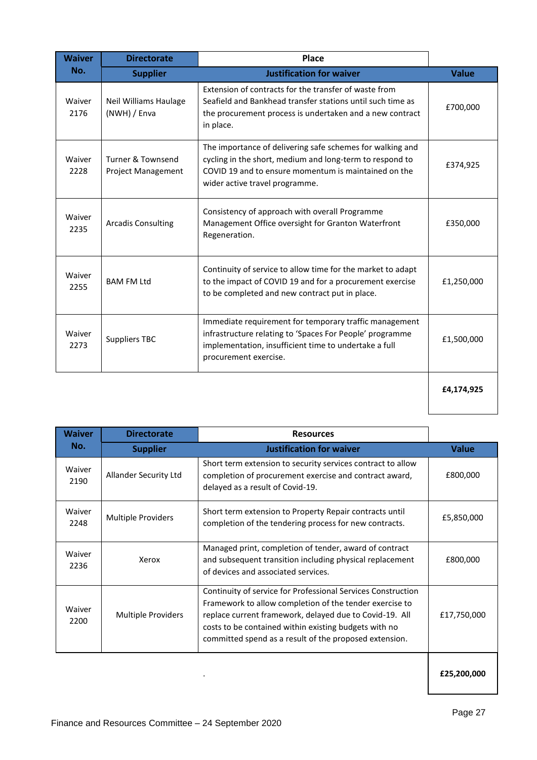| <b>Waiver</b>  | <b>Directorate</b>                             | Place                                                                                                                                                                                                           |              |
|----------------|------------------------------------------------|-----------------------------------------------------------------------------------------------------------------------------------------------------------------------------------------------------------------|--------------|
| No.            | <b>Supplier</b>                                | <b>Justification for waiver</b>                                                                                                                                                                                 | <b>Value</b> |
| Waiver<br>2176 | <b>Neil Williams Haulage</b><br>(NWH) / Enva   | Extension of contracts for the transfer of waste from<br>Seafield and Bankhead transfer stations until such time as<br>the procurement process is undertaken and a new contract<br>in place.                    | £700,000     |
| Waiver<br>2228 | Turner & Townsend<br><b>Project Management</b> | The importance of delivering safe schemes for walking and<br>cycling in the short, medium and long-term to respond to<br>COVID 19 and to ensure momentum is maintained on the<br>wider active travel programme. | £374,925     |
| Waiver<br>2235 | <b>Arcadis Consulting</b>                      | Consistency of approach with overall Programme<br>Management Office oversight for Granton Waterfront<br>Regeneration.                                                                                           | £350,000     |
| Waiver<br>2255 | <b>BAM FM Ltd</b>                              | Continuity of service to allow time for the market to adapt<br>to the impact of COVID 19 and for a procurement exercise<br>to be completed and new contract put in place.                                       | £1,250,000   |
| Waiver<br>2273 | <b>Suppliers TBC</b>                           | Immediate requirement for temporary traffic management<br>infrastructure relating to 'Spaces For People' programme<br>implementation, insufficient time to undertake a full<br>procurement exercise.            | £1,500,000   |
|                |                                                |                                                                                                                                                                                                                 | £4,174,925   |

| <b>Waiver</b>  | <b>Directorate</b>        | <b>Resources</b>                                                                                                                                                                                                                                                                                      |              |
|----------------|---------------------------|-------------------------------------------------------------------------------------------------------------------------------------------------------------------------------------------------------------------------------------------------------------------------------------------------------|--------------|
| No.            | <b>Supplier</b>           | <b>Justification for waiver</b>                                                                                                                                                                                                                                                                       | <b>Value</b> |
| Waiver<br>2190 | Allander Security Ltd     | Short term extension to security services contract to allow<br>completion of procurement exercise and contract award,<br>delayed as a result of Covid-19.                                                                                                                                             | £800,000     |
| Waiver<br>2248 | <b>Multiple Providers</b> | Short term extension to Property Repair contracts until<br>completion of the tendering process for new contracts.                                                                                                                                                                                     |              |
| Waiver<br>2236 | Xerox                     | Managed print, completion of tender, award of contract<br>and subsequent transition including physical replacement<br>of devices and associated services.                                                                                                                                             | £800,000     |
| Waiver<br>2200 | <b>Multiple Providers</b> | Continuity of service for Professional Services Construction<br>Framework to allow completion of the tender exercise to<br>replace current framework, delayed due to Covid-19. All<br>costs to be contained within existing budgets with no<br>committed spend as a result of the proposed extension. | £17,750,000  |
|                |                           |                                                                                                                                                                                                                                                                                                       |              |

. **£25,200,000**